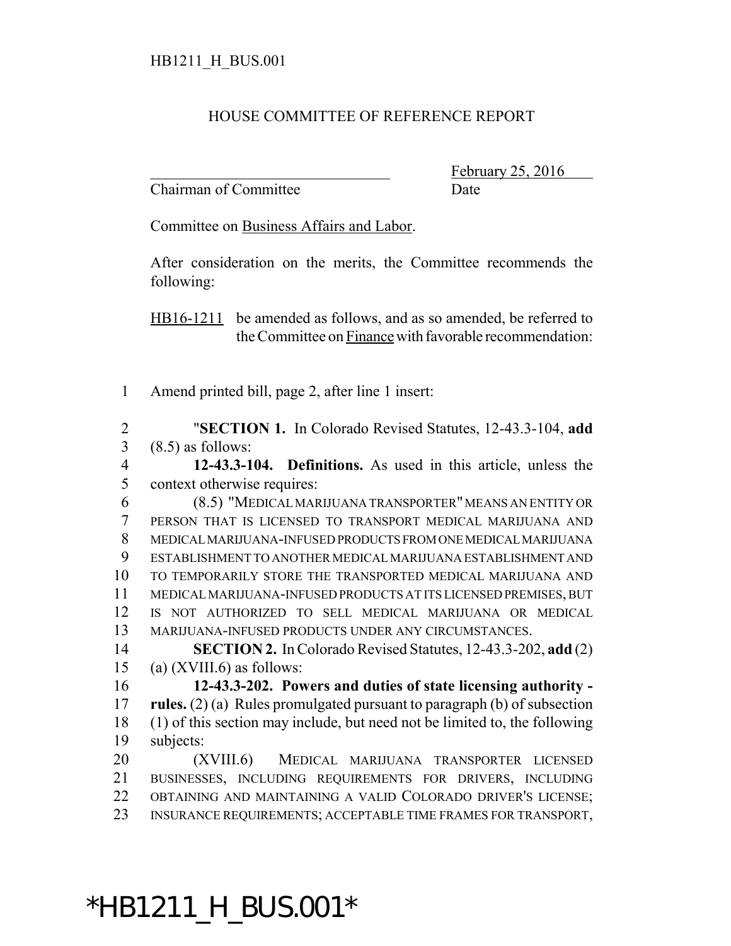## HOUSE COMMITTEE OF REFERENCE REPORT

Chairman of Committee Date

February 25, 2016

Committee on Business Affairs and Labor.

After consideration on the merits, the Committee recommends the following:

HB16-1211 be amended as follows, and as so amended, be referred to the Committee on Finance with favorable recommendation:

Amend printed bill, page 2, after line 1 insert:

 "**SECTION 1.** In Colorado Revised Statutes, 12-43.3-104, **add** (8.5) as follows:

 **12-43.3-104. Definitions.** As used in this article, unless the context otherwise requires:

 (8.5) "MEDICAL MARIJUANA TRANSPORTER" MEANS AN ENTITY OR PERSON THAT IS LICENSED TO TRANSPORT MEDICAL MARIJUANA AND MEDICAL MARIJUANA-INFUSED PRODUCTS FROM ONE MEDICAL MARIJUANA ESTABLISHMENT TO ANOTHER MEDICAL MARIJUANA ESTABLISHMENT AND TO TEMPORARILY STORE THE TRANSPORTED MEDICAL MARIJUANA AND MEDICAL MARIJUANA-INFUSED PRODUCTS AT ITS LICENSED PREMISES, BUT IS NOT AUTHORIZED TO SELL MEDICAL MARIJUANA OR MEDICAL MARIJUANA-INFUSED PRODUCTS UNDER ANY CIRCUMSTANCES.

 **SECTION 2.** In Colorado Revised Statutes, 12-43.3-202, **add** (2) 15 (a) (XVIII.6) as follows:

 **12-43.3-202. Powers and duties of state licensing authority - rules.** (2) (a) Rules promulgated pursuant to paragraph (b) of subsection (1) of this section may include, but need not be limited to, the following subjects:

 (XVIII.6) MEDICAL MARIJUANA TRANSPORTER LICENSED BUSINESSES, INCLUDING REQUIREMENTS FOR DRIVERS, INCLUDING OBTAINING AND MAINTAINING A VALID COLORADO DRIVER'S LICENSE; INSURANCE REQUIREMENTS; ACCEPTABLE TIME FRAMES FOR TRANSPORT,

\*HB1211\_H\_BUS.001\*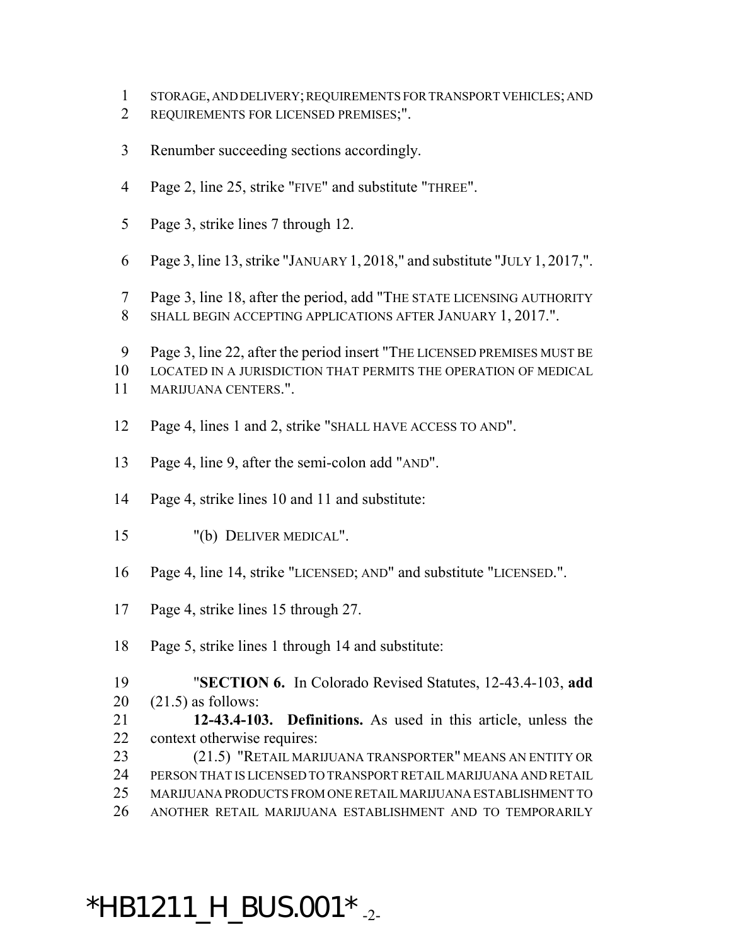- STORAGE, AND DELIVERY; REQUIREMENTS FOR TRANSPORT VEHICLES; AND
- REQUIREMENTS FOR LICENSED PREMISES;".
- Renumber succeeding sections accordingly.
- Page 2, line 25, strike "FIVE" and substitute "THREE".
- Page 3, strike lines 7 through 12.
- Page 3, line 13, strike "JANUARY 1, 2018," and substitute "JULY 1, 2017,".
- Page 3, line 18, after the period, add "THE STATE LICENSING AUTHORITY SHALL BEGIN ACCEPTING APPLICATIONS AFTER JANUARY 1, 2017.".
- Page 3, line 22, after the period insert "THE LICENSED PREMISES MUST BE
- LOCATED IN A JURISDICTION THAT PERMITS THE OPERATION OF MEDICAL MARIJUANA CENTERS.".
- Page 4, lines 1 and 2, strike "SHALL HAVE ACCESS TO AND".
- Page 4, line 9, after the semi-colon add "AND".
- Page 4, strike lines 10 and 11 and substitute:
- "(b) DELIVER MEDICAL".
- Page 4, line 14, strike "LICENSED; AND" and substitute "LICENSED.".
- Page 4, strike lines 15 through 27.
- Page 5, strike lines 1 through 14 and substitute:
- "**SECTION 6.** In Colorado Revised Statutes, 12-43.4-103, **add**
- (21.5) as follows:
- **12-43.4-103. Definitions.** As used in this article, unless the context otherwise requires:
- (21.5) "RETAIL MARIJUANA TRANSPORTER" MEANS AN ENTITY OR PERSON THAT IS LICENSED TO TRANSPORT RETAIL MARIJUANA AND RETAIL MARIJUANA PRODUCTS FROM ONE RETAIL MARIJUANA ESTABLISHMENT TO
- ANOTHER RETAIL MARIJUANA ESTABLISHMENT AND TO TEMPORARILY

## $*$ HB1211\_H\_BUS.001 $*$ <sub>-2-</sub>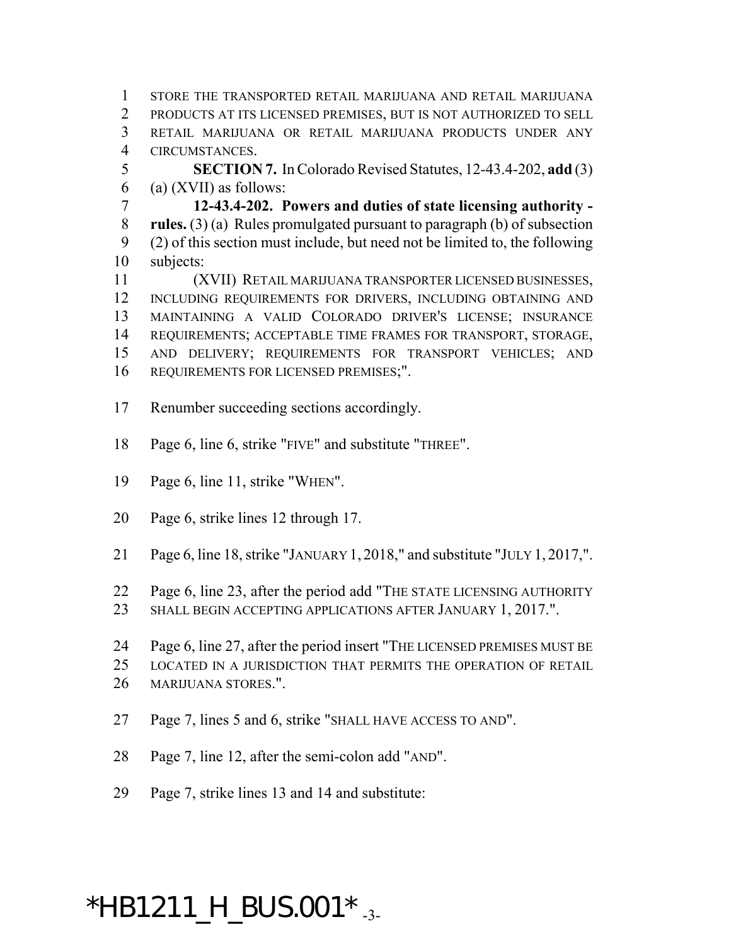STORE THE TRANSPORTED RETAIL MARIJUANA AND RETAIL MARIJUANA PRODUCTS AT ITS LICENSED PREMISES, BUT IS NOT AUTHORIZED TO SELL RETAIL MARIJUANA OR RETAIL MARIJUANA PRODUCTS UNDER ANY CIRCUMSTANCES.

 **SECTION 7.** In Colorado Revised Statutes, 12-43.4-202, **add** (3) 6 (a) (XVII) as follows:

 **12-43.4-202. Powers and duties of state licensing authority - rules.** (3) (a) Rules promulgated pursuant to paragraph (b) of subsection (2) of this section must include, but need not be limited to, the following subjects:

 (XVII) RETAIL MARIJUANA TRANSPORTER LICENSED BUSINESSES, INCLUDING REQUIREMENTS FOR DRIVERS, INCLUDING OBTAINING AND MAINTAINING A VALID COLORADO DRIVER'S LICENSE; INSURANCE REQUIREMENTS; ACCEPTABLE TIME FRAMES FOR TRANSPORT, STORAGE, AND DELIVERY; REQUIREMENTS FOR TRANSPORT VEHICLES; AND REQUIREMENTS FOR LICENSED PREMISES;".

- Renumber succeeding sections accordingly.
- Page 6, line 6, strike "FIVE" and substitute "THREE".
- Page 6, line 11, strike "WHEN".
- Page 6, strike lines 12 through 17.
- Page 6, line 18, strike "JANUARY 1, 2018," and substitute "JULY 1, 2017,".
- Page 6, line 23, after the period add "THE STATE LICENSING AUTHORITY
- SHALL BEGIN ACCEPTING APPLICATIONS AFTER JANUARY 1, 2017.".
- Page 6, line 27, after the period insert "THE LICENSED PREMISES MUST BE
- LOCATED IN A JURISDICTION THAT PERMITS THE OPERATION OF RETAIL
- MARIJUANA STORES.".
- Page 7, lines 5 and 6, strike "SHALL HAVE ACCESS TO AND".
- Page 7, line 12, after the semi-colon add "AND".
- Page 7, strike lines 13 and 14 and substitute:

## \*HB1211\_H\_BUS.001  $*$  -3-